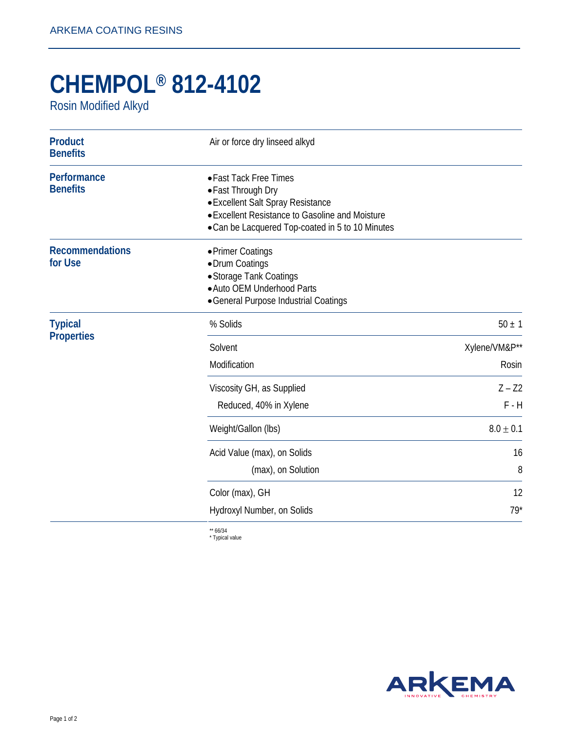## **CHEMPOL® 812-4102**

Rosin Modified Alkyd

| <b>Product</b><br><b>Benefits</b>   | Air or force dry linseed alkyd                                                                                                                                                           |                        |
|-------------------------------------|------------------------------------------------------------------------------------------------------------------------------------------------------------------------------------------|------------------------|
| Performance<br><b>Benefits</b>      | • Fast Tack Free Times<br>• Fast Through Dry<br>• Excellent Salt Spray Resistance<br>• Excellent Resistance to Gasoline and Moisture<br>• Can be Lacquered Top-coated in 5 to 10 Minutes |                        |
| <b>Recommendations</b><br>for Use   | • Primer Coatings<br>• Drum Coatings<br>• Storage Tank Coatings<br>• Auto OEM Underhood Parts<br>• General Purpose Industrial Coatings                                                   |                        |
| <b>Typical</b><br><b>Properties</b> | % Solids                                                                                                                                                                                 | $50 \pm 1$             |
|                                     | Solvent<br>Modification                                                                                                                                                                  | Xylene/VM&P**<br>Rosin |
|                                     | Viscosity GH, as Supplied<br>Reduced, 40% in Xylene                                                                                                                                      | $Z - Z2$<br>$F - H$    |
|                                     | Weight/Gallon (lbs)                                                                                                                                                                      | $8.0 \pm 0.1$          |
|                                     | Acid Value (max), on Solids<br>(max), on Solution                                                                                                                                        | 16<br>8                |
|                                     | Color (max), GH                                                                                                                                                                          | 12                     |
|                                     | Hydroxyl Number, on Solids                                                                                                                                                               | $79*$                  |

\*\* 66/34 \* Typical value